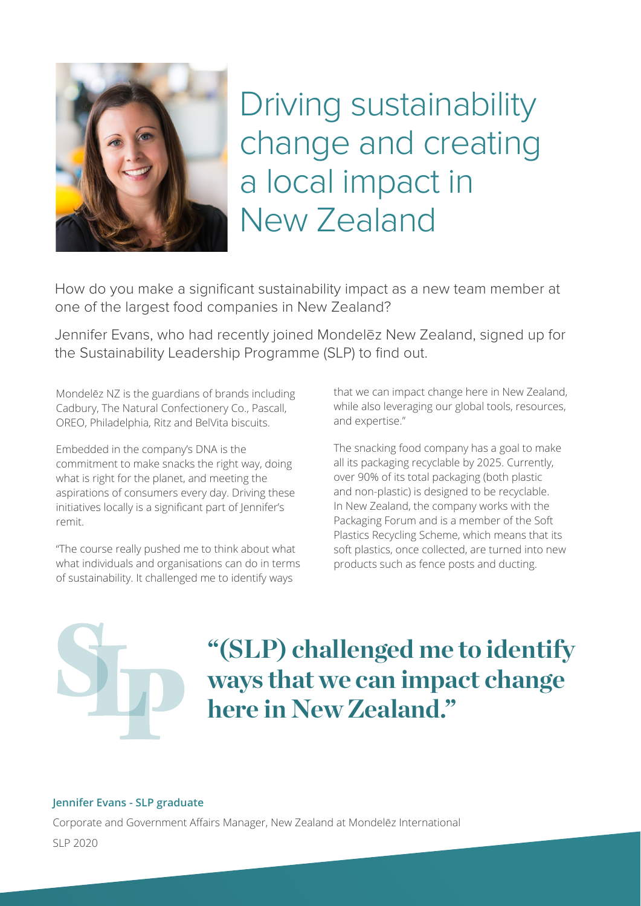

Driving sustainability change and creating a local impact in New Zealand

How do you make a significant sustainability impact as a new team member at one of the largest food companies in New Zealand?

Jennifer Evans, who had recently joined Mondelēz New Zealand, signed up for the Sustainability Leadership Programme (SLP) to find out.

Mondelēz NZ is the guardians of brands including Cadbury, The Natural Confectionery Co., Pascall, OREO, Philadelphia, Ritz and BelVita biscuits.

Embedded in the company's DNA is the commitment to make snacks the right way, doing what is right for the planet, and meeting the aspirations of consumers every day. Driving these initiatives locally is a significant part of Jennifer's remit.

"The course really pushed me to think about what what individuals and organisations can do in terms of sustainability. It challenged me to identify ways

that we can impact change here in New Zealand, while also leveraging our global tools, resources, and expertise."

The snacking food company has a goal to make all its packaging recyclable by 2025. Currently, over 90% of its total packaging (both plastic and non-plastic) is designed to be recyclable. In New Zealand, the company works with the Packaging Forum and is a member of the Soft Plastics Recycling Scheme, which means that its soft plastics, once collected, are turned into new products such as fence posts and ducting.

## **"(SLP) challenged me to identify ways that we can impact change here in New Zealand."**

## **Jennifer Evans - SLP graduate**

Corporate and Government Affairs Manager, New Zealand at Mondelēz International